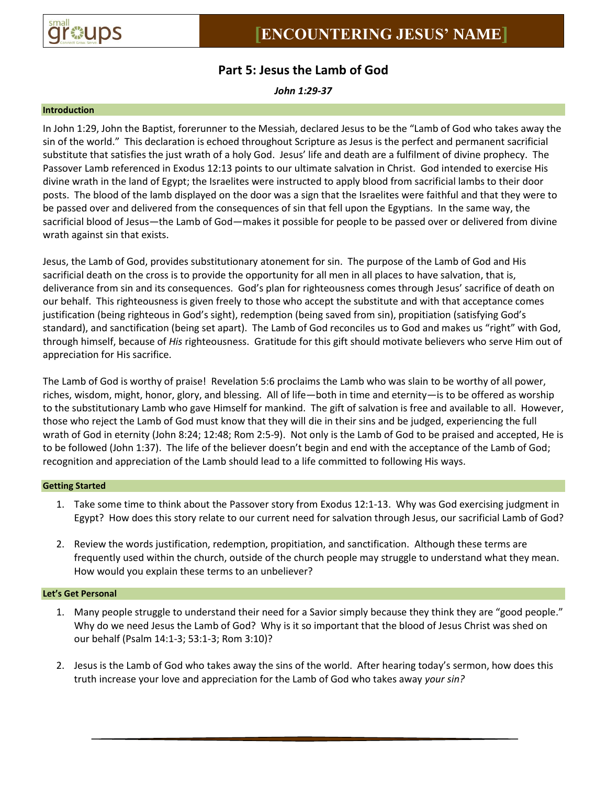

# **Part 5: Jesus the Lamb of God**

*John 1:29-37*

### **Introduction**

In John 1:29, John the Baptist, forerunner to the Messiah, declared Jesus to be the "Lamb of God who takes away the sin of the world." This declaration is echoed throughout Scripture as Jesus is the perfect and permanent sacrificial substitute that satisfies the just wrath of a holy God. Jesus' life and death are a fulfilment of divine prophecy. The Passover Lamb referenced in Exodus 12:13 points to our ultimate salvation in Christ. God intended to exercise His divine wrath in the land of Egypt; the Israelites were instructed to apply blood from sacrificial lambs to their door posts. The blood of the lamb displayed on the door was a sign that the Israelites were faithful and that they were to be passed over and delivered from the consequences of sin that fell upon the Egyptians. In the same way, the sacrificial blood of Jesus—the Lamb of God—makes it possible for people to be passed over or delivered from divine wrath against sin that exists.

Jesus, the Lamb of God, provides substitutionary atonement for sin. The purpose of the Lamb of God and His sacrificial death on the cross is to provide the opportunity for all men in all places to have salvation, that is, deliverance from sin and its consequences. God's plan for righteousness comes through Jesus' sacrifice of death on our behalf. This righteousness is given freely to those who accept the substitute and with that acceptance comes justification (being righteous in God's sight), redemption (being saved from sin), propitiation (satisfying God's standard), and sanctification (being set apart). The Lamb of God reconciles us to God and makes us "right" with God, through himself, because of *His* righteousness. Gratitude for this gift should motivate believers who serve Him out of appreciation for His sacrifice.

The Lamb of God is worthy of praise! Revelation 5:6 proclaims the Lamb who was slain to be worthy of all power, riches, wisdom, might, honor, glory, and blessing. All of life—both in time and eternity—is to be offered as worship to the substitutionary Lamb who gave Himself for mankind. The gift of salvation is free and available to all. However, those who reject the Lamb of God must know that they will die in their sins and be judged, experiencing the full wrath of God in eternity (John 8:24; 12:48; Rom 2:5-9). Not only is the Lamb of God to be praised and accepted, He is to be followed (John 1:37). The life of the believer doesn't begin and end with the acceptance of the Lamb of God; recognition and appreciation of the Lamb should lead to a life committed to following His ways.

#### **Getting Started**

- 1. Take some time to think about the Passover story from Exodus 12:1-13. Why was God exercising judgment in Egypt? How does this story relate to our current need for salvation through Jesus, our sacrificial Lamb of God?
- 2. Review the words justification, redemption, propitiation, and sanctification. Although these terms are frequently used within the church, outside of the church people may struggle to understand what they mean. How would you explain these terms to an unbeliever?

## **Let's Get Personal**

- 1. Many people struggle to understand their need for a Savior simply because they think they are "good people." Why do we need Jesus the Lamb of God? Why is it so important that the blood of Jesus Christ was shed on our behalf (Psalm 14:1-3; 53:1-3; Rom 3:10)?
- 2. Jesus is the Lamb of God who takes away the sins of the world. After hearing today's sermon, how does this truth increase your love and appreciation for the Lamb of God who takes away *your sin?*